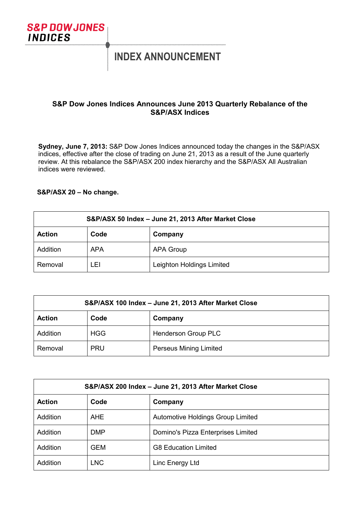

# **INDEX ANNOUNCEMENT**

## **S&P Dow Jones Indices Announces June 2013 Quarterly Rebalance of the S&P/ASX Indices**

**Sydney, June 7, 2013:** S&P Dow Jones Indices announced today the changes in the S&P/ASX indices, effective after the close of trading on June 21, 2013 as a result of the June quarterly review. At this rebalance the S&P/ASX 200 index hierarchy and the S&P/ASX All Australian indices were reviewed.

### **S&P/ASX 20 – No change.**

| S&P/ASX 50 Index - June 21, 2013 After Market Close |            |                           |
|-----------------------------------------------------|------------|---------------------------|
| <b>Action</b>                                       | Code       | Company                   |
| Addition                                            | <b>APA</b> | APA Group                 |
| Removal                                             | LEI        | Leighton Holdings Limited |

| S&P/ASX 100 Index - June 21, 2013 After Market Close |            |                        |
|------------------------------------------------------|------------|------------------------|
| <b>Action</b>                                        | Code       | Company                |
| Addition                                             | <b>HGG</b> | Henderson Group PLC    |
| Removal                                              | <b>PRU</b> | Perseus Mining Limited |

| S&P/ASX 200 Index - June 21, 2013 After Market Close |            |                                          |
|------------------------------------------------------|------------|------------------------------------------|
| <b>Action</b>                                        | Code       | Company                                  |
| <b>Addition</b>                                      | <b>AHE</b> | <b>Automotive Holdings Group Limited</b> |
| Addition                                             | <b>DMP</b> | Domino's Pizza Enterprises Limited       |
| Addition                                             | <b>GEM</b> | <b>G8 Education Limited</b>              |
| Addition                                             | LNC        | Linc Energy Ltd                          |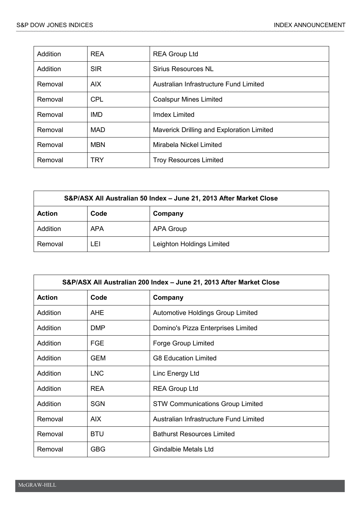| Addition | <b>REA</b> | <b>REA Group Ltd</b>                      |
|----------|------------|-------------------------------------------|
| Addition | <b>SIR</b> | Sirius Resources NL                       |
| Removal  | AIX.       | Australian Infrastructure Fund Limited    |
| Removal  | <b>CPL</b> | <b>Coalspur Mines Limited</b>             |
| Removal  | IMD.       | <b>Imdex Limited</b>                      |
| Removal  | <b>MAD</b> | Maverick Drilling and Exploration Limited |
| Removal  | <b>MBN</b> | Mirabela Nickel Limited                   |
| Removal  | TRY        | <b>Troy Resources Limited</b>             |

| S&P/ASX All Australian 50 Index - June 21, 2013 After Market Close |            |                           |
|--------------------------------------------------------------------|------------|---------------------------|
| <b>Action</b>                                                      | Code       | Company                   |
| Addition                                                           | <b>APA</b> | <b>APA Group</b>          |
| Removal                                                            | ∟EL        | Leighton Holdings Limited |

| S&P/ASX All Australian 200 Index - June 21, 2013 After Market Close |            |                                         |
|---------------------------------------------------------------------|------------|-----------------------------------------|
| <b>Action</b>                                                       | Code       | Company                                 |
| Addition                                                            | <b>AHE</b> | Automotive Holdings Group Limited       |
| Addition                                                            | <b>DMP</b> | Domino's Pizza Enterprises Limited      |
| <b>Addition</b>                                                     | <b>FGE</b> | Forge Group Limited                     |
| Addition                                                            | <b>GEM</b> | <b>G8 Education Limited</b>             |
| Addition                                                            | <b>LNC</b> | Linc Energy Ltd                         |
| Addition                                                            | <b>REA</b> | <b>REA Group Ltd</b>                    |
| Addition                                                            | <b>SGN</b> | <b>STW Communications Group Limited</b> |
| Removal                                                             | AIX.       | Australian Infrastructure Fund Limited  |
| Removal                                                             | <b>BTU</b> | <b>Bathurst Resources Limited</b>       |
| Removal                                                             | <b>GBG</b> | <b>Gindalbie Metals Ltd</b>             |